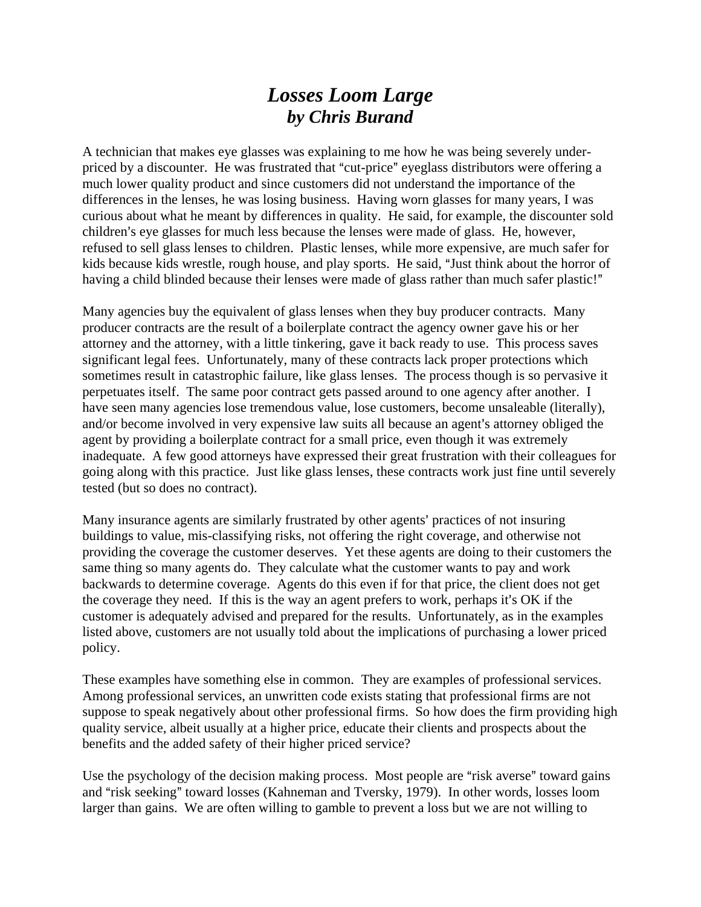## *Losses Loom Large by Chris Burand*

A technician that makes eye glasses was explaining to me how he was being severely underpriced by a discounter. He was frustrated that "cut-price" eyeglass distributors were offering a much lower quality product and since customers did not understand the importance of the differences in the lenses, he was losing business. Having worn glasses for many years, I was curious about what he meant by differences in quality. He said, for example, the discounter sold children's eye glasses for much less because the lenses were made of glass. He, however, refused to sell glass lenses to children. Plastic lenses, while more expensive, are much safer for kids because kids wrestle, rough house, and play sports. He said, "Just think about the horror of having a child blinded because their lenses were made of glass rather than much safer plastic!"

Many agencies buy the equivalent of glass lenses when they buy producer contracts. Many producer contracts are the result of a boilerplate contract the agency owner gave his or her attorney and the attorney, with a little tinkering, gave it back ready to use. This process saves significant legal fees. Unfortunately, many of these contracts lack proper protections which sometimes result in catastrophic failure, like glass lenses. The process though is so pervasive it perpetuates itself. The same poor contract gets passed around to one agency after another. I have seen many agencies lose tremendous value, lose customers, become unsaleable (literally), and/or become involved in very expensive law suits all because an agent's attorney obliged the agent by providing a boilerplate contract for a small price, even though it was extremely inadequate. A few good attorneys have expressed their great frustration with their colleagues for going along with this practice. Just like glass lenses, these contracts work just fine until severely tested (but so does no contract).

Many insurance agents are similarly frustrated by other agents' practices of not insuring buildings to value, mis-classifying risks, not offering the right coverage, and otherwise not providing the coverage the customer deserves. Yet these agents are doing to their customers the same thing so many agents do. They calculate what the customer wants to pay and work backwards to determine coverage. Agents do this even if for that price, the client does not get the coverage they need. If this is the way an agent prefers to work, perhaps it's OK if the customer is adequately advised and prepared for the results. Unfortunately, as in the examples listed above, customers are not usually told about the implications of purchasing a lower priced policy.

These examples have something else in common. They are examples of professional services. Among professional services, an unwritten code exists stating that professional firms are not suppose to speak negatively about other professional firms. So how does the firm providing high quality service, albeit usually at a higher price, educate their clients and prospects about the benefits and the added safety of their higher priced service?

Use the psychology of the decision making process. Most people are "risk averse" toward gains and "risk seeking" toward losses (Kahneman and Tversky, 1979). In other words, losses loom larger than gains. We are often willing to gamble to prevent a loss but we are not willing to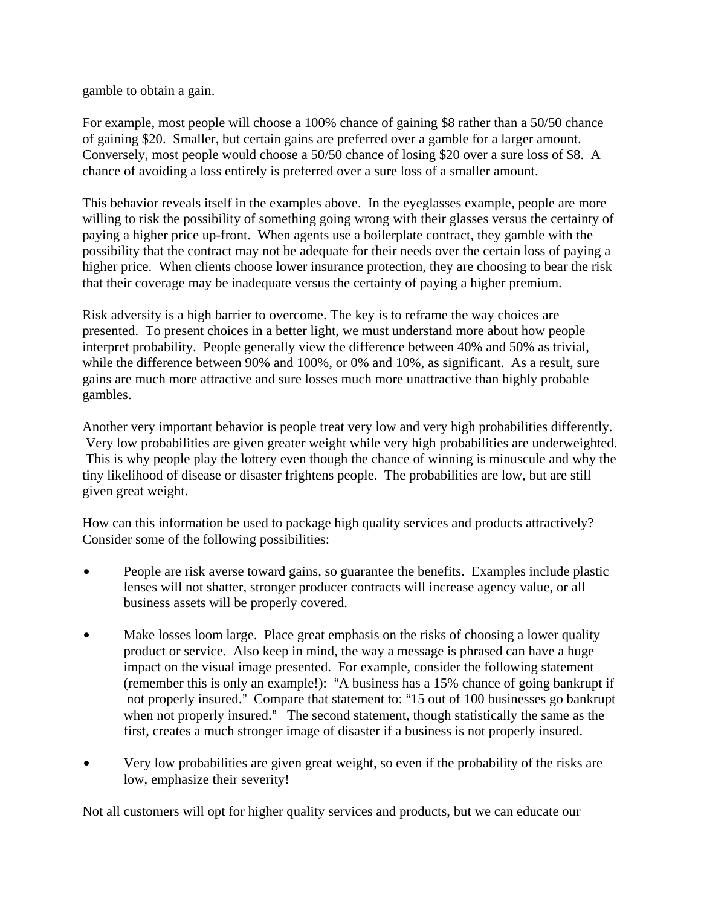gamble to obtain a gain.

For example, most people will choose a 100% chance of gaining \$8 rather than a 50/50 chance of gaining \$20. Smaller, but certain gains are preferred over a gamble for a larger amount. Conversely, most people would choose a 50/50 chance of losing \$20 over a sure loss of \$8. A chance of avoiding a loss entirely is preferred over a sure loss of a smaller amount.

This behavior reveals itself in the examples above. In the eyeglasses example, people are more willing to risk the possibility of something going wrong with their glasses versus the certainty of paying a higher price up-front. When agents use a boilerplate contract, they gamble with the possibility that the contract may not be adequate for their needs over the certain loss of paying a higher price. When clients choose lower insurance protection, they are choosing to bear the risk that their coverage may be inadequate versus the certainty of paying a higher premium.

Risk adversity is a high barrier to overcome. The key is to reframe the way choices are presented. To present choices in a better light, we must understand more about how people interpret probability. People generally view the difference between 40% and 50% as trivial, while the difference between 90% and 100%, or 0% and 10%, as significant. As a result, sure gains are much more attractive and sure losses much more unattractive than highly probable gambles.

Another very important behavior is people treat very low and very high probabilities differently. Very low probabilities are given greater weight while very high probabilities are underweighted. This is why people play the lottery even though the chance of winning is minuscule and why the tiny likelihood of disease or disaster frightens people. The probabilities are low, but are still given great weight.

How can this information be used to package high quality services and products attractively? Consider some of the following possibilities:

- People are risk averse toward gains, so guarantee the benefits. Examples include plastic lenses will not shatter, stronger producer contracts will increase agency value, or all business assets will be properly covered.
- Make losses loom large. Place great emphasis on the risks of choosing a lower quality product or service. Also keep in mind, the way a message is phrased can have a huge impact on the visual image presented. For example, consider the following statement (remember this is only an example!): "A business has a 15% chance of going bankrupt if not properly insured." Compare that statement to: "15 out of 100 businesses go bankrupt when not properly insured." The second statement, though statistically the same as the first, creates a much stronger image of disaster if a business is not properly insured.
- Very low probabilities are given great weight, so even if the probability of the risks are low, emphasize their severity!

Not all customers will opt for higher quality services and products, but we can educate our